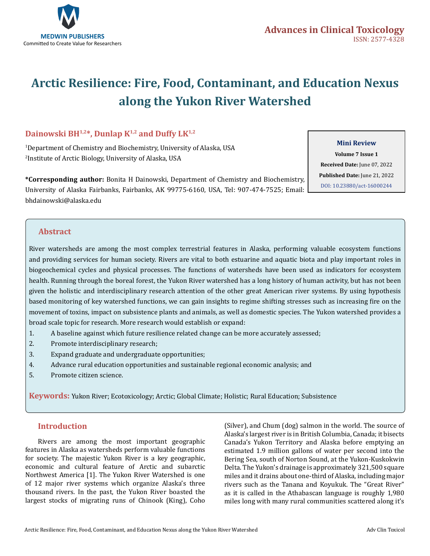

# **Arctic Resilience: Fire, Food, Contaminant, and Education Nexus along the Yukon River Watershed**

# **Dainowski BH1,2\*, Dunlap K1,2 and Duffy LK1,2**

1 Department of Chemistry and Biochemistry, University of Alaska, USA 2 Institute of Arctic Biology, University of Alaska, USA

**\*Corresponding author:** Bonita H Dainowski, Department of Chemistry and Biochemistry, University of Alaska Fairbanks, Fairbanks, AK 99775-6160, USA, Tel: 907-474-7525; Email: bhdainowski@alaska.edu

#### **Mini Review**

**Volume 7 Issue 1 Received Date:** June 07, 2022 **Published Date:** June 21, 2022 [DOI: 10.23880/act-16000244](htps://doi.org/10.23880/act-16000244)

## **Abstract**

River watersheds are among the most complex terrestrial features in Alaska, performing valuable ecosystem functions and providing services for human society. Rivers are vital to both estuarine and aquatic biota and play important roles in biogeochemical cycles and physical processes. The functions of watersheds have been used as indicators for ecosystem health. Running through the boreal forest, the Yukon River watershed has a long history of human activity, but has not been given the holistic and interdisciplinary research attention of the other great American river systems. By using hypothesis based monitoring of key watershed functions, we can gain insights to regime shifting stresses such as increasing fire on the movement of toxins, impact on subsistence plants and animals, as well as domestic species. The Yukon watershed provides a broad scale topic for research. More research would establish or expand:

- 1. A baseline against which future resilience related change can be more accurately assessed;
- 2. Promote interdisciplinary research;
- 3. Expand graduate and undergraduate opportunities;
- 4. Advance rural education opportunities and sustainable regional economic analysis; and
- 5. Promote citizen science.

**Keywords:** Yukon River; Ecotoxicology; Arctic; Global Climate; Holistic; Rural Education; Subsistence

#### **Introduction**

Rivers are among the most important geographic features in Alaska as watersheds perform valuable functions for society. The majestic Yukon River is a key geographic, economic and cultural feature of Arctic and subarctic Northwest America [1]. The Yukon River Watershed is one of 12 major river systems which organize Alaska's three thousand rivers. In the past, the Yukon River boasted the largest stocks of migrating runs of Chinook (King), Coho

(Silver), and Chum (dog) salmon in the world. The source of Alaska's largest river is in British Columbia, Canada; it bisects Canada's Yukon Territory and Alaska before emptying an estimated 1.9 million gallons of water per second into the Bering Sea, south of Norton Sound, at the Yukon-Kuskokwin Delta. The Yukon's drainage is approximately 321,500 square miles and it drains about one-third of Alaska, including major rivers such as the Tanana and Koyukuk. The "Great River" as it is called in the Athabascan language is roughly 1,980 miles long with many rural communities scattered along it's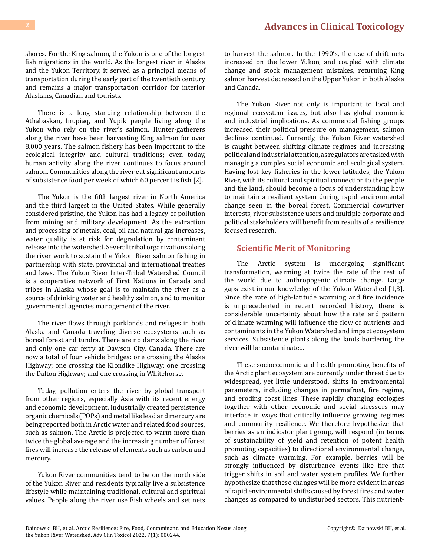shores. For the King salmon, the Yukon is one of the longest fish migrations in the world. As the longest river in Alaska and the Yukon Territory, it served as a principal means of transportation during the early part of the twentieth century and remains a major transportation corridor for interior Alaskans, Canadian and tourists.

There is a long standing relationship between the Athabaskan, Inupiaq, and Yupik people living along the Yukon who rely on the river's salmon. Hunter-gatherers along the river have been harvesting King salmon for over 8,000 years. The salmon fishery has been important to the ecological integrity and cultural traditions; even today, human activity along the river continues to focus around salmon. Communities along the river eat significant amounts of subsistence food per week of which 60 percent is fish [2].

The Yukon is the fifth largest river in North America and the third largest in the United States. While generally considered pristine, the Yukon has had a legacy of pollution from mining and military development. As the extraction and processing of metals, coal, oil and natural gas increases, water quality is at risk for degradation by contaminant release into the watershed. Several tribal organizations along the river work to sustain the Yukon River salmon fishing in partnership with state, provincial and international treaties and laws. The Yukon River Inter-Tribal Watershed Council is a cooperative network of First Nations in Canada and tribes in Alaska whose goal is to maintain the river as a source of drinking water and healthy salmon, and to monitor governmental agencies management of the river.

The river flows through parklands and refuges in both Alaska and Canada traveling diverse ecosystems such as boreal forest and tundra. There are no dams along the river and only one car ferry at Dawson City, Canada. There are now a total of four vehicle bridges: one crossing the Alaska Highway; one crossing the Klondike Highway; one crossing the Dalton Highway; and one crossing in Whitehorse.

Today, pollution enters the river by global transport from other regions, especially Asia with its recent energy and economic development. Industrially created persistence organic chemicals (POPs) and metal like lead and mercury are being reported both in Arctic water and related food sources, such as salmon. The Arctic is projected to warm more than twice the global average and the increasing number of forest fires will increase the release of elements such as carbon and mercury.

Yukon River communities tend to be on the north side of the Yukon River and residents typically live a subsistence lifestyle while maintaining traditional, cultural and spiritual values. People along the river use Fish wheels and set nets

to harvest the salmon. In the 1990's, the use of drift nets increased on the lower Yukon, and coupled with climate change and stock management mistakes, returning King salmon harvest decreased on the Upper Yukon in both Alaska and Canada.

The Yukon River not only is important to local and regional ecosystem issues, but also has global economic and industrial implications. As commercial fishing groups increased their political pressure on management, salmon declines continued. Currently, the Yukon River watershed is caught between shifting climate regimes and increasing political and industrial attention, as regulators are tasked with managing a complex social economic and ecological system. Having lost key fisheries in the lower latitudes, the Yukon River, with its cultural and spiritual connection to the people and the land, should become a focus of understanding how to maintain a resilient system during rapid environmental change seen in the boreal forest. Commercial downriver interests, river subsistence users and multiple corporate and political stakeholders will benefit from results of a resilience focused research.

# **Scientific Merit of Monitoring**

The Arctic system is undergoing significant transformation, warming at twice the rate of the rest of the world due to anthropogenic climate change. Large gaps exist in our knowledge of the Yukon Watershed [1,3]. Since the rate of high-latitude warming and fire incidence is unprecedented in recent recorded history, there is considerable uncertainty about how the rate and pattern of climate warming will influence the flow of nutrients and contaminants in the Yukon Watershed and impact ecosystem services. Subsistence plants along the lands bordering the river will be contaminated.

These socioeconomic and health promoting benefits of the Arctic plant ecosystem are currently under threat due to widespread, yet little understood, shifts in environmental parameters, including changes in permafrost, fire regime, and eroding coast lines. These rapidly changing ecologies together with other economic and social stressors may interface in ways that critically influence growing regimes and community resilience. We therefore hypothesize that berries as an indicator plant group, will respond (in terms of sustainability of yield and retention of potent health promoting capacities) to directional environmental change, such as climate warming. For example, berries will be strongly influenced by disturbance events like fire that trigger shifts in soil and water system profiles. We further hypothesize that these changes will be more evident in areas of rapid environmental shifts caused by forest fires and water changes as compared to undisturbed sectors. This nutrient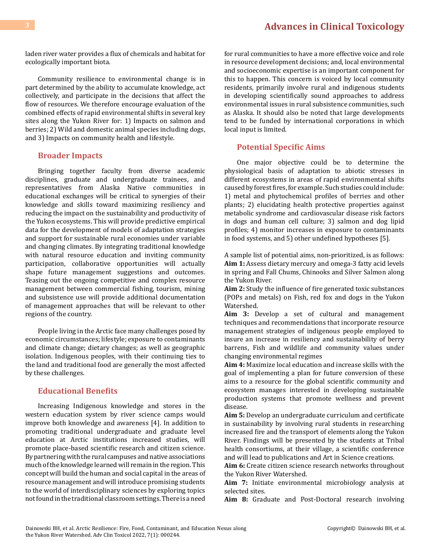laden river water provides a flux of chemicals and habitat for ecologically important biota.

Community resilience to environmental change is in part determined by the ability to accumulate knowledge, act collectively, and participate in the decisions that affect the flow of resources. We therefore encourage evaluation of the combined effects of rapid environmental shifts in several key sites along the Yukon River for: 1) Impacts on salmon and berries; 2) Wild and domestic animal species including dogs, and 3) Impacts on community health and lifestyle.

#### **Broader Impacts**

Bringing together faculty from diverse academic disciplines, graduate and undergraduate trainees, and representatives from Alaska Native communities in educational exchanges will be critical to synergies of their knowledge and skills toward maximizing resiliency and reducing the impact on the sustainability and productivity of the Yukon ecosystems. This will provide predictive empirical data for the development of models of adaptation strategies and support for sustainable rural economies under variable and changing climates. By integrating traditional knowledge with natural resource education and inviting community participation, collaborative opportunities will actually shape future management suggestions and outcomes. Teasing out the ongoing competitive and complex resource management between commercial fishing, tourism, mining and subsistence use will provide additional documentation of management approaches that will be relevant to other regions of the country.

People living in the Arctic face many challenges posed by economic circumstances; lifestyle; exposure to contaminants and climate change; dietary changes; as well as geographic isolation. Indigenous peoples, with their continuing ties to the land and traditional food are generally the most affected by these challenges.

# **Educational Benefits**

Increasing Indigenous knowledge and stores in the western education system by river science camps would improve both knowledge and awareness [4]. In addition to promoting traditional undergraduate and graduate level education at Arctic institutions increased studies, will promote place-based scientific research and citizen science. By partnering with the rural campuses and native associations much of the knowledge learned will remain in the region. This concept will build the human and social capital in the areas of resource management and will introduce promising students to the world of interdisciplinary sciences by exploring topics not found in the traditional classroom settings. There is a need

for rural communities to have a more effective voice and role in resource development decisions; and, local environmental and socioeconomic expertise is an important component for this to happen. This concern is voiced by local community residents, primarily involve rural and indigenous students in developing scientifically sound approaches to address environmental issues in rural subsistence communities, such as Alaska. It should also be noted that large developments tend to be funded by international corporations in which local input is limited.

#### **Potential Specific Aims**

One major objective could be to determine the physiological basis of adaptation to abiotic stresses in different ecosystems in areas of rapid environmental shifts caused by forest fires, for example. Such studies could include: 1) metal and phytochemical profiles of berries and other plants; 2) elucidating health protective properties against metabolic syndrome and cardiovascular disease risk factors in dogs and human cell culture; 3) salmon and dog lipid profiles; 4) monitor increases in exposure to contaminants in food systems, and 5) other undefined hypotheses [5].

A sample list of potential aims, non-prioritized, is as follows: **Aim 1:** Assess dietary mercury and omega-3 fatty acid levels in spring and Fall Chums, Chinooks and Silver Salmon along the Yukon River.

**Aim 2:** Study the influence of fire generated toxic substances (POPs and metals) on Fish, red fox and dogs in the Yukon Watershed.

**Aim 3:** Develop a set of cultural and management techniques and recommendations that incorporate resource management strategies of indigenous people employed to insure an increase in resiliency and sustainability of berry barrens, Fish and wildlife and community values under changing environmental regimes

**Aim 4:** Maximize local education and increase skills with the goal of implementing a plan for future conversion of these aims to a resource for the global scientific community and ecosystem manages interested in developing sustainable production systems that promote wellness and prevent disease.

**Aim 5:** Develop an undergraduate curriculum and certificate in sustainability by involving rural students in researching increased fire and the transport of elements along the Yukon River. Findings will be presented by the students at Tribal health consortiums, at their village, a scientific conference and will lead to publications and Art in Science creations.

**Aim 6:** Create citizen science research networks throughout the Yukon River Watershed.

**Aim 7:** Initiate environmental microbiology analysis at selected sites.

**Aim 8:** Graduate and Post-Doctoral research involving